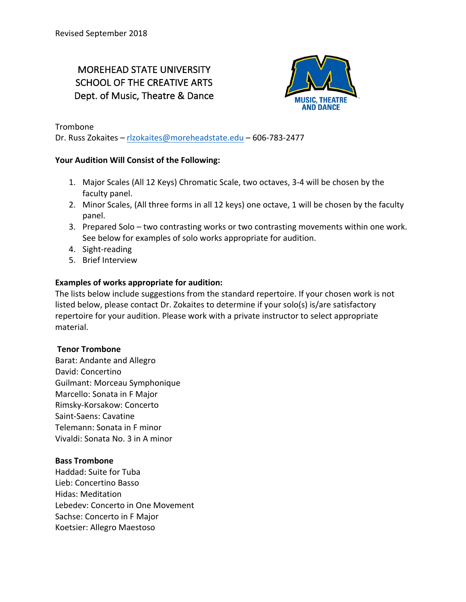# MOREHEAD STATE UNIVERSITY SCHOOL OF THE CREATIVE ARTS Dept. of Music, Theatre & Dance



Trombone

Dr. Russ Zokaites - rlzokaites@moreheadstate.edu - 606-783-2477

# Your Audition Will Consist of the Following:

- 1. Major Scales (All 12 Keys) Chromatic Scale, two octaves, 3-4 will be chosen by the faculty panel.
- 2. Minor Scales, (All three forms in all 12 keys) one octave, 1 will be chosen by the faculty panel.
- 3. Prepared Solo two contrasting works or two contrasting movements within one work. See below for examples of solo works appropriate for audition.
- 4. Sight-reading
- 5. Brief Interview

# **Examples of works appropriate for audition:**

The lists below include suggestions from the standard repertoire. If your chosen work is not listed below, please contact Dr. Zokaites to determine if your solo(s) is/are satisfactory repertoire for your audition. Please work with a private instructor to select appropriate material.

### **Tenor Trombone**

Barat: Andante and Allegro David: Concertino Guilmant: Morceau Symphonique Marcello: Sonata in F Major Rimsky-Korsakow: Concerto Saint-Saens: Cavatine Telemann: Sonata in F minor Vivaldi: Sonata No. 3 in A minor

### **Bass Trombone**

Haddad: Suite for Tuba Lieb: Concertino Basso Hidas: Meditation Lebedev: Concerto in One Movement Sachse: Concerto in F Major Koetsier: Allegro Maestoso